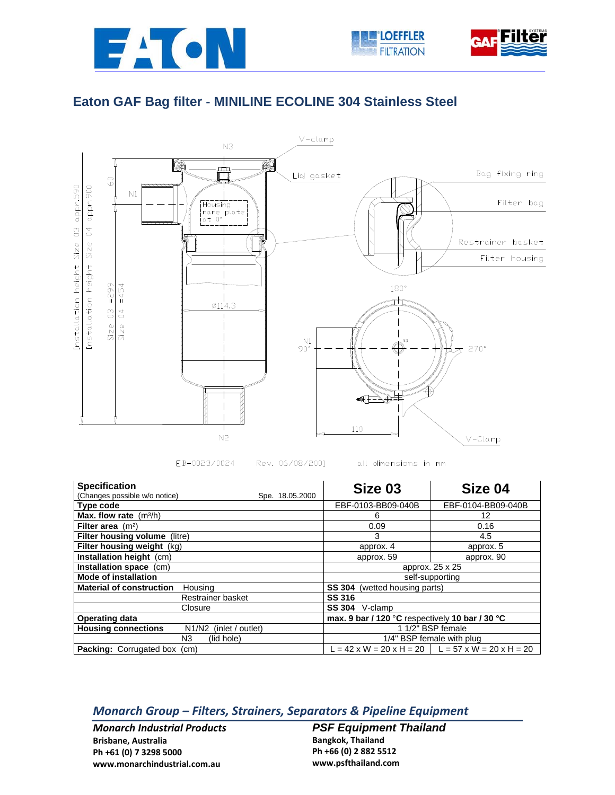



## **Eaton GAF Bag filter - MINILINE ECOLINE 304 Stainless Steel**



EB-0023/0024 Rev. 06/08/2001 all dimensions in mm

| <b>Specification</b>                                    | Size 03                                         | Size 04                                               |
|---------------------------------------------------------|-------------------------------------------------|-------------------------------------------------------|
| (Changes possible w/o notice)<br>Spe. 18.05.2000        |                                                 |                                                       |
| Type code                                               | EBF-0103-BB09-040B                              | EBF-0104-BB09-040B                                    |
| Max. flow rate $(m^3/h)$                                | 6                                               | 12                                                    |
| Filter area $(m2)$                                      | 0.09                                            | 0.16                                                  |
| Filter housing volume (litre)                           | 3                                               | 4.5                                                   |
| Filter housing weight (kg)                              | approx. 4                                       | approx. 5                                             |
| <b>Installation height (cm)</b>                         | approx. 59                                      | approx. 90                                            |
| Installation space (cm)                                 | approx. 25 x 25                                 |                                                       |
| <b>Mode of installation</b>                             | self-supporting                                 |                                                       |
| <b>Material of construction</b><br>Housing              | <b>SS 304</b><br>(wetted housing parts)         |                                                       |
| Restrainer basket                                       | <b>SS 316</b>                                   |                                                       |
| Closure                                                 | <b>SS 304</b><br>V-clamp                        |                                                       |
| <b>Operating data</b>                                   | max. 9 bar / 120 °C respectively 10 bar / 30 °C |                                                       |
| <b>Housing connections</b><br>N1/N2<br>(inlet / outlet) | 1 1/2" BSP female                               |                                                       |
| N3<br>(lid hole)                                        | 1/4" BSP female with plug                       |                                                       |
| Packing: Corrugated box<br>(cm)                         |                                                 | $L = 42$ x W = 20 x H = 20   L = 57 x W = 20 x H = 20 |

## *Monarch Group – Filters, Strainers, Separators & Pipeline Equipment*

*Monarch Industrial Products* **Brisbane, Australia Ph +61 (0) 7 3298 5000 www.monarchindustrial.com.au**

*PSF Equipment Thailand*  **Bangkok, Thailand Ph +66 (0) 2 882 5512 www.psfthailand.com**